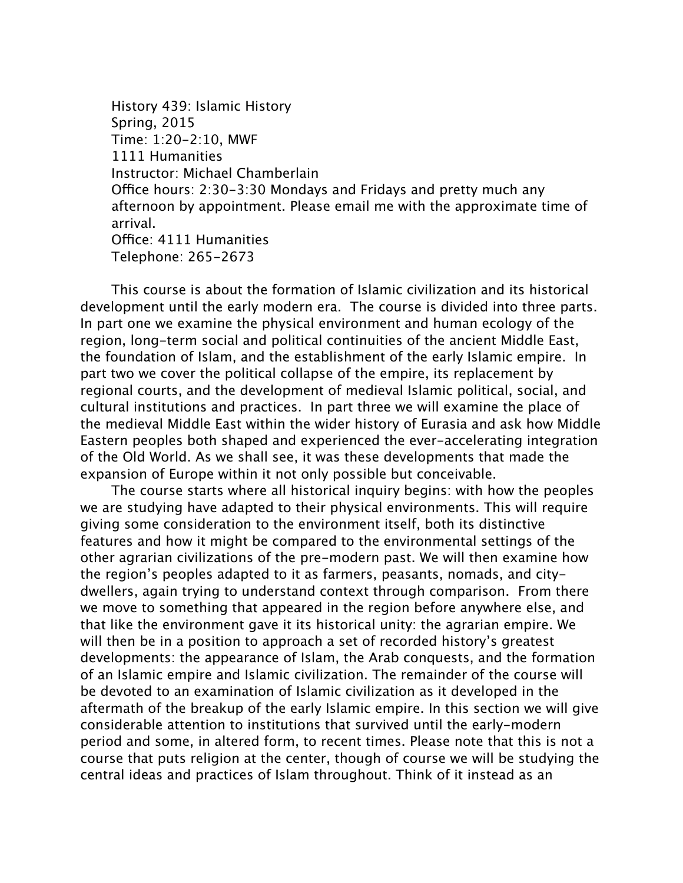History 439: Islamic History Spring, 2015 Time: 1:20-2:10, MWF 1111 Humanities Instructor: Michael Chamberlain Office hours:  $2:30-3:30$  Mondays and Fridays and pretty much any afternoon by appointment. Please email me with the approximate time of arrival. Office: 4111 Humanities Telephone: 265-2673

This course is about the formation of Islamic civilization and its historical development until the early modern era. The course is divided into three parts. In part one we examine the physical environment and human ecology of the region, long-term social and political continuities of the ancient Middle East, the foundation of Islam, and the establishment of the early Islamic empire. In part two we cover the political collapse of the empire, its replacement by regional courts, and the development of medieval Islamic political, social, and cultural institutions and practices. In part three we will examine the place of the medieval Middle East within the wider history of Eurasia and ask how Middle Eastern peoples both shaped and experienced the ever-accelerating integration of the Old World. As we shall see, it was these developments that made the expansion of Europe within it not only possible but conceivable.

The course starts where all historical inquiry begins: with how the peoples we are studying have adapted to their physical environments. This will require giving some consideration to the environment itself, both its distinctive features and how it might be compared to the environmental settings of the other agrarian civilizations of the pre-modern past. We will then examine how the region's peoples adapted to it as farmers, peasants, nomads, and citydwellers, again trying to understand context through comparison. From there we move to something that appeared in the region before anywhere else, and that like the environment gave it its historical unity: the agrarian empire. We will then be in a position to approach a set of recorded history's greatest developments: the appearance of Islam, the Arab conquests, and the formation of an Islamic empire and Islamic civilization. The remainder of the course will be devoted to an examination of Islamic civilization as it developed in the aftermath of the breakup of the early Islamic empire. In this section we will give considerable attention to institutions that survived until the early-modern period and some, in altered form, to recent times. Please note that this is not a course that puts religion at the center, though of course we will be studying the central ideas and practices of Islam throughout. Think of it instead as an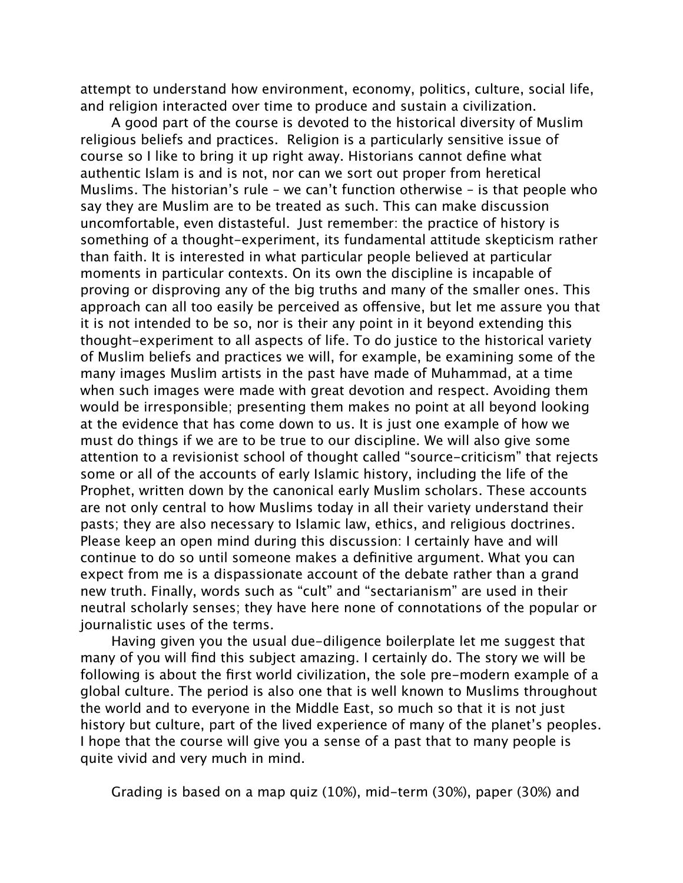attempt to understand how environment, economy, politics, culture, social life, and religion interacted over time to produce and sustain a civilization.

A good part of the course is devoted to the historical diversity of Muslim religious beliefs and practices. Religion is a particularly sensitive issue of course so I like to bring it up right away. Historians cannot define what authentic Islam is and is not, nor can we sort out proper from heretical Muslims. The historian's rule – we can't function otherwise – is that people who say they are Muslim are to be treated as such. This can make discussion uncomfortable, even distasteful. Just remember: the practice of history is something of a thought-experiment, its fundamental attitude skepticism rather than faith. It is interested in what particular people believed at particular moments in particular contexts. On its own the discipline is incapable of proving or disproving any of the big truths and many of the smaller ones. This approach can all too easily be perceived as ofensive, but let me assure you that it is not intended to be so, nor is their any point in it beyond extending this thought-experiment to all aspects of life. To do justice to the historical variety of Muslim beliefs and practices we will, for example, be examining some of the many images Muslim artists in the past have made of Muhammad, at a time when such images were made with great devotion and respect. Avoiding them would be irresponsible; presenting them makes no point at all beyond looking at the evidence that has come down to us. It is just one example of how we must do things if we are to be true to our discipline. We will also give some attention to a revisionist school of thought called "source-criticism" that rejects some or all of the accounts of early Islamic history, including the life of the Prophet, written down by the canonical early Muslim scholars. These accounts are not only central to how Muslims today in all their variety understand their pasts; they are also necessary to Islamic law, ethics, and religious doctrines. Please keep an open mind during this discussion: I certainly have and will continue to do so until someone makes a definitive argument. What you can expect from me is a dispassionate account of the debate rather than a grand new truth. Finally, words such as "cult" and "sectarianism" are used in their neutral scholarly senses; they have here none of connotations of the popular or journalistic uses of the terms.

Having given you the usual due-diligence boilerplate let me suggest that many of you will find this subject amazing. I certainly do. The story we will be following is about the first world civilization, the sole pre-modern example of a global culture. The period is also one that is well known to Muslims throughout the world and to everyone in the Middle East, so much so that it is not just history but culture, part of the lived experience of many of the planet's peoples. I hope that the course will give you a sense of a past that to many people is quite vivid and very much in mind.

Grading is based on a map quiz (10%), mid-term (30%), paper (30%) and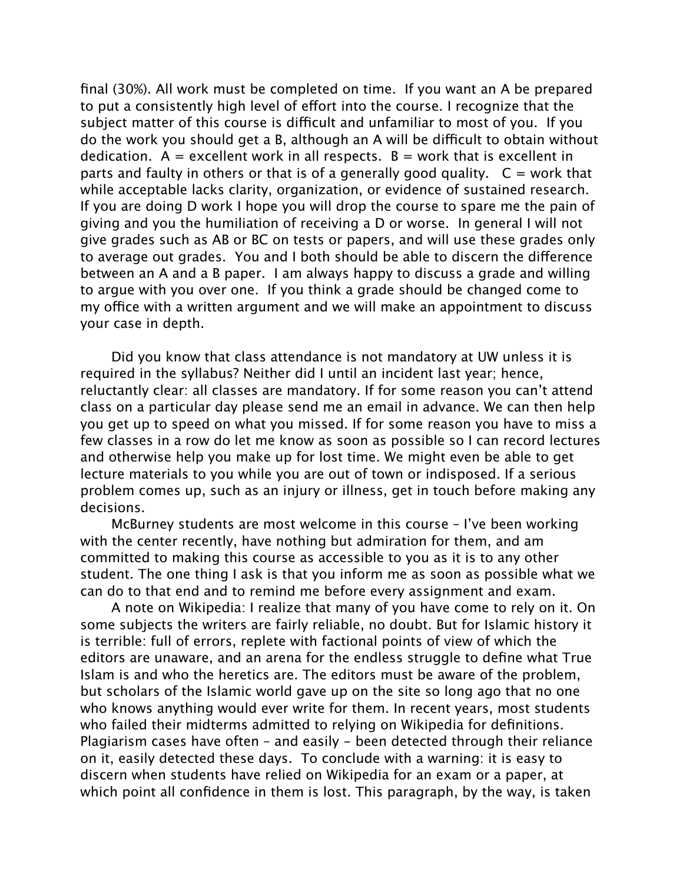final (30%). All work must be completed on time. If you want an A be prepared to put a consistently high level of efort into the course. I recognize that the subject matter of this course is difficult and unfamiliar to most of you. If you do the work you should get a B, although an A will be difcult to obtain without dedication.  $A =$  excellent work in all respects.  $B =$  work that is excellent in parts and faulty in others or that is of a generally good quality.  $C =$  work that while acceptable lacks clarity, organization, or evidence of sustained research. If you are doing D work I hope you will drop the course to spare me the pain of giving and you the humiliation of receiving a D or worse. In general I will not give grades such as AB or BC on tests or papers, and will use these grades only to average out grades. You and I both should be able to discern the diference between an A and a B paper. I am always happy to discuss a grade and willing to argue with you over one. If you think a grade should be changed come to my office with a written argument and we will make an appointment to discuss your case in depth.

Did you know that class attendance is not mandatory at UW unless it is required in the syllabus? Neither did I until an incident last year; hence, reluctantly clear: all classes are mandatory. If for some reason you can't attend class on a particular day please send me an email in advance. We can then help you get up to speed on what you missed. If for some reason you have to miss a few classes in a row do let me know as soon as possible so I can record lectures and otherwise help you make up for lost time. We might even be able to get lecture materials to you while you are out of town or indisposed. If a serious problem comes up, such as an injury or illness, get in touch before making any decisions.

McBurney students are most welcome in this course – I've been working with the center recently, have nothing but admiration for them, and am committed to making this course as accessible to you as it is to any other student. The one thing I ask is that you inform me as soon as possible what we can do to that end and to remind me before every assignment and exam.

A note on Wikipedia: I realize that many of you have come to rely on it. On some subjects the writers are fairly reliable, no doubt. But for Islamic history it is terrible: full of errors, replete with factional points of view of which the editors are unaware, and an arena for the endless struggle to define what True Islam is and who the heretics are. The editors must be aware of the problem, but scholars of the Islamic world gave up on the site so long ago that no one who knows anything would ever write for them. In recent years, most students who failed their midterms admitted to relying on Wikipedia for definitions. Plagiarism cases have often – and easily - been detected through their reliance on it, easily detected these days. To conclude with a warning: it is easy to discern when students have relied on Wikipedia for an exam or a paper, at which point all confidence in them is lost. This paragraph, by the way, is taken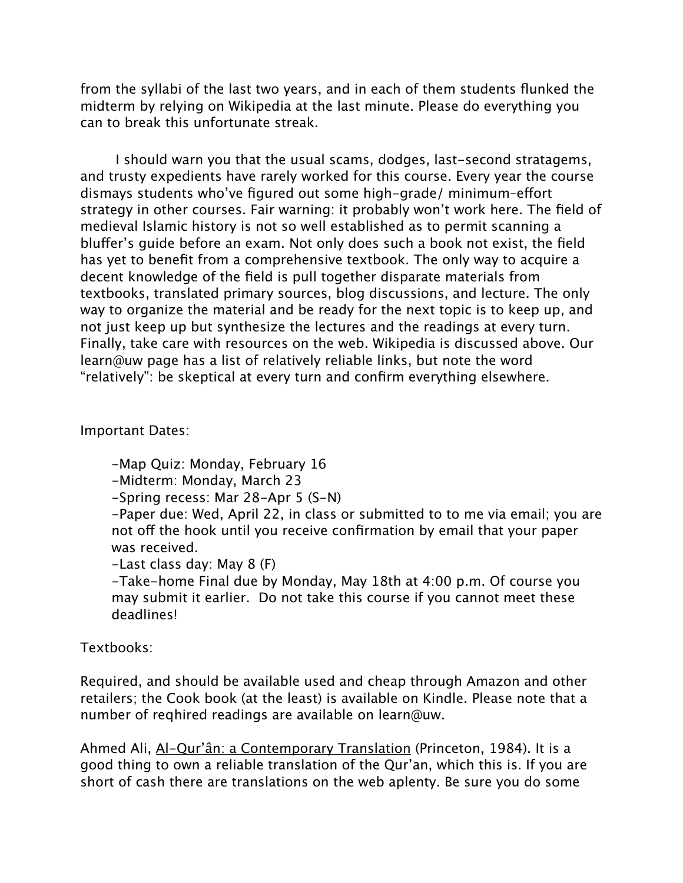from the syllabi of the last two years, and in each of them students flunked the midterm by relying on Wikipedia at the last minute. Please do everything you can to break this unfortunate streak.

 I should warn you that the usual scams, dodges, last-second stratagems, and trusty expedients have rarely worked for this course. Every year the course dismays students who've figured out some high-grade/ minimum–efort strategy in other courses. Fair warning: it probably won't work here. The field of medieval Islamic history is not so well established as to permit scanning a blufer's guide before an exam. Not only does such a book not exist, the field has yet to benefit from a comprehensive textbook. The only way to acquire a decent knowledge of the field is pull together disparate materials from textbooks, translated primary sources, blog discussions, and lecture. The only way to organize the material and be ready for the next topic is to keep up, and not just keep up but synthesize the lectures and the readings at every turn. Finally, take care with resources on the web. Wikipedia is discussed above. Our learn@uw page has a list of relatively reliable links, but note the word "relatively": be skeptical at every turn and confirm everything elsewhere.

## Important Dates:

-Map Quiz: Monday, February 16

-Midterm: Monday, March 23

-Spring recess: Mar 28-Apr 5 (S-N)

-Paper due: Wed, April 22, in class or submitted to to me via email; you are not off the hook until you receive confirmation by email that your paper was received.

-Last class day: May 8 (F)

-Take-home Final due by Monday, May 18th at 4:00 p.m. Of course you may submit it earlier. Do not take this course if you cannot meet these deadlines!

# Textbooks:

Required, and should be available used and cheap through Amazon and other retailers; the Cook book (at the least) is available on Kindle. Please note that a number of reqhired readings are available on learn@uw.

Ahmed Ali, Al-Qur'ân: a Contemporary Translation (Princeton, 1984). It is a good thing to own a reliable translation of the Qur'an, which this is. If you are short of cash there are translations on the web aplenty. Be sure you do some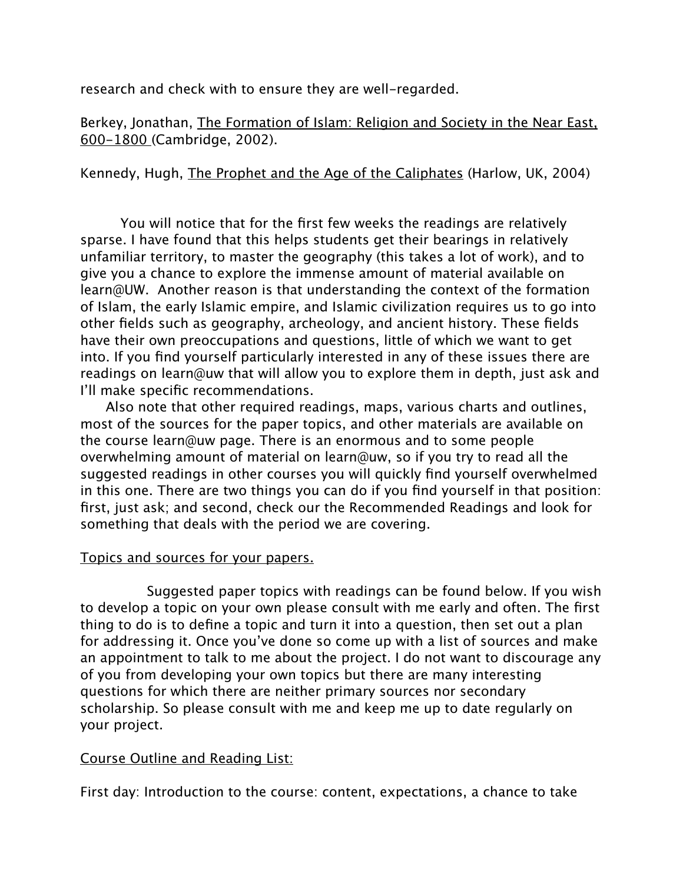research and check with to ensure they are well-regarded.

Berkey, Jonathan, The Formation of Islam: Religion and Society in the Near East, 600-1800 (Cambridge, 2002).

Kennedy, Hugh, The Prophet and the Age of the Caliphates (Harlow, UK, 2004)

You will notice that for the first few weeks the readings are relatively sparse. I have found that this helps students get their bearings in relatively unfamiliar territory, to master the geography (this takes a lot of work), and to give you a chance to explore the immense amount of material available on learn@UW. Another reason is that understanding the context of the formation of Islam, the early Islamic empire, and Islamic civilization requires us to go into other fields such as geography, archeology, and ancient history. These fields have their own preoccupations and questions, little of which we want to get into. If you find yourself particularly interested in any of these issues there are readings on learn@uw that will allow you to explore them in depth, just ask and I'll make specific recommendations.

 Also note that other required readings, maps, various charts and outlines, most of the sources for the paper topics, and other materials are available on the course learn@uw page. There is an enormous and to some people overwhelming amount of material on learn@uw, so if you try to read all the suggested readings in other courses you will quickly find yourself overwhelmed in this one. There are two things you can do if you find yourself in that position: first, just ask; and second, check our the Recommended Readings and look for something that deals with the period we are covering.

### Topics and sources for your papers.

 Suggested paper topics with readings can be found below. If you wish to develop a topic on your own please consult with me early and often. The first thing to do is to define a topic and turn it into a question, then set out a plan for addressing it. Once you've done so come up with a list of sources and make an appointment to talk to me about the project. I do not want to discourage any of you from developing your own topics but there are many interesting questions for which there are neither primary sources nor secondary scholarship. So please consult with me and keep me up to date regularly on your project.

### Course Outline and Reading List:

First day: Introduction to the course: content, expectations, a chance to take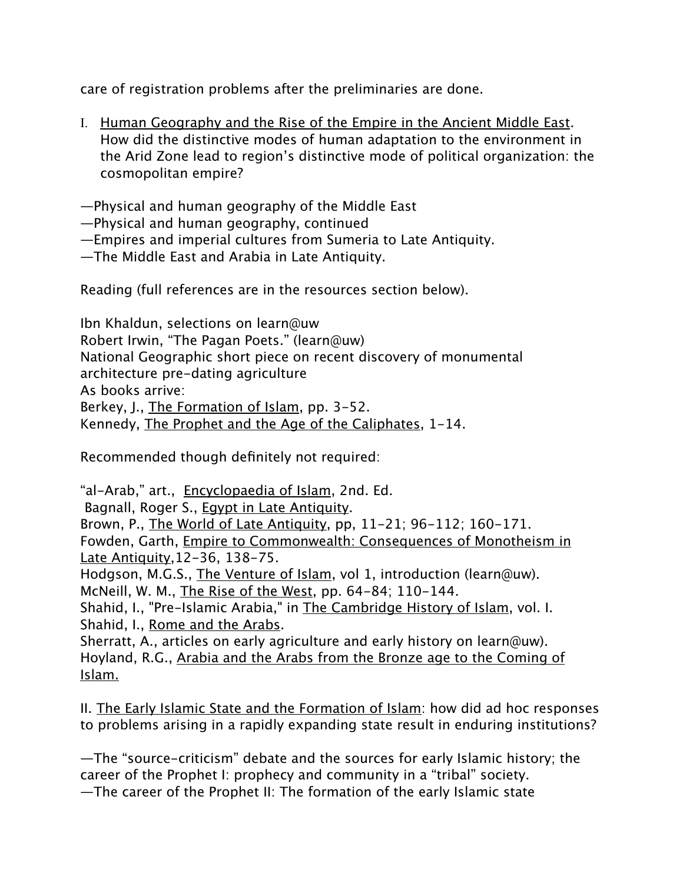care of registration problems after the preliminaries are done.

I. Human Geography and the Rise of the Empire in the Ancient Middle East. How did the distinctive modes of human adaptation to the environment in the Arid Zone lead to region's distinctive mode of political organization: the cosmopolitan empire?

—Physical and human geography of the Middle East

—Physical and human geography, continued

—Empires and imperial cultures from Sumeria to Late Antiquity.

—The Middle East and Arabia in Late Antiquity.

Reading (full references are in the resources section below).

Ibn Khaldun, selections on learn@uw Robert Irwin, "The Pagan Poets." (learn@uw) National Geographic short piece on recent discovery of monumental architecture pre-dating agriculture As books arrive: Berkey, J., The Formation of Islam, pp. 3-52. Kennedy, The Prophet and the Age of the Caliphates, 1-14.

Recommended though definitely not required:

"al-Arab," art., Encyclopaedia of Islam, 2nd. Ed. Bagnall, Roger S., Egypt in Late Antiquity. Brown, P., The World of Late Antiquity, pp, 11-21; 96-112; 160-171. Fowden, Garth, Empire to Commonwealth: Consequences of Monotheism in Late Antiquity,12-36, 138-75. Hodgson, M.G.S., The Venture of Islam, vol 1, introduction (learn@uw). McNeill, W. M., The Rise of the West, pp. 64-84; 110-144. Shahid, I., "Pre-Islamic Arabia," in The Cambridge History of Islam, vol. I. Shahid, I., Rome and the Arabs. Sherratt, A., articles on early agriculture and early history on learn@uw). Hoyland, R.G., Arabia and the Arabs from the Bronze age to the Coming of

Islam.

II. The Early Islamic State and the Formation of Islam: how did ad hoc responses to problems arising in a rapidly expanding state result in enduring institutions?

—The "source-criticism" debate and the sources for early Islamic history; the career of the Prophet I: prophecy and community in a "tribal" society. —The career of the Prophet II: The formation of the early Islamic state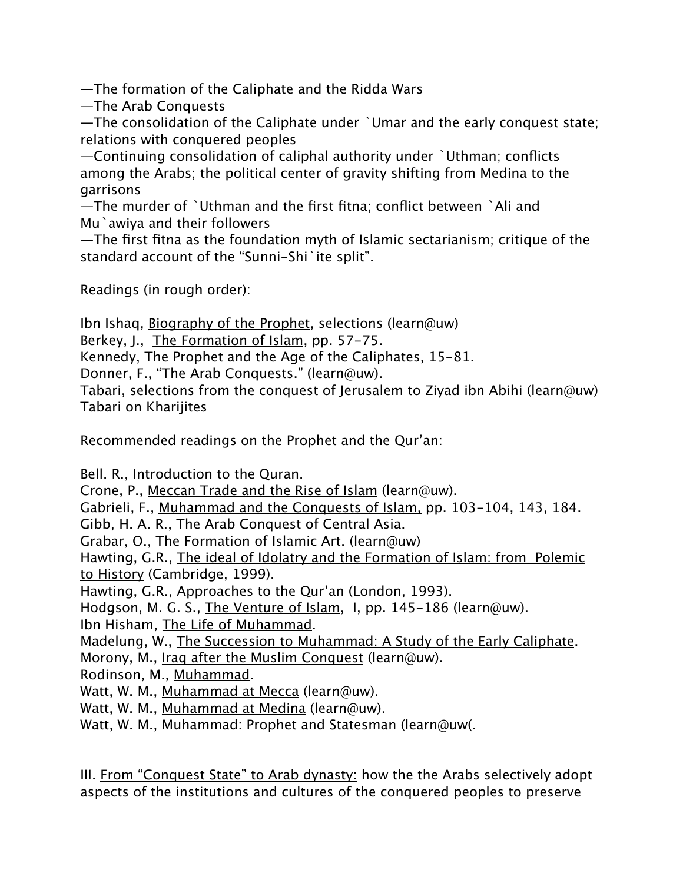—The formation of the Caliphate and the Ridda Wars

—The Arab Conquests

—The consolidation of the Caliphate under `Umar and the early conquest state; relations with conquered peoples

—Continuing consolidation of caliphal authority under `Uthman; conflicts among the Arabs; the political center of gravity shifting from Medina to the garrisons

—The murder of `Uthman and the first fitna; conflict between `Ali and Mu`awiya and their followers

—The first fitna as the foundation myth of Islamic sectarianism; critique of the standard account of the "Sunni-Shi`ite split".

Readings (in rough order):

Ibn Ishaq, Biography of the Prophet, selections (learn@uw)

Berkey, J., The Formation of Islam, pp. 57-75.

Kennedy, The Prophet and the Age of the Caliphates, 15-81.

Donner, F., "The Arab Conquests." (learn@uw).

Tabari, selections from the conquest of Jerusalem to Ziyad ibn Abihi (learn@uw) Tabari on Kharijites

Recommended readings on the Prophet and the Qur'an:

Bell. R., Introduction to the Quran.

Crone, P., Meccan Trade and the Rise of Islam (learn@uw).

Gabrieli, F., Muhammad and the Conquests of Islam, pp. 103-104, 143, 184.

Gibb, H. A. R., The Arab Conquest of Central Asia.

Grabar, O., The Formation of Islamic Art. (learn@uw)

Hawting, G.R., The ideal of Idolatry and the Formation of Islam: from Polemic to History (Cambridge, 1999).

Hawting, G.R., Approaches to the Qur'an (London, 1993).

Hodgson, M. G. S., The Venture of Islam, I, pp. 145-186 (learn@uw).

Ibn Hisham, The Life of Muhammad.

Madelung, W., The Succession to Muhammad: A Study of the Early Caliphate.

Morony, M., Iraq after the Muslim Conquest (learn@uw).

Rodinson, M., Muhammad.

Watt, W. M., Muhammad at Mecca (learn@uw).

Watt, W. M., Muhammad at Medina (learn@uw).

Watt, W. M., Muhammad: Prophet and Statesman (learn@uw(.

III. From "Conquest State" to Arab dynasty: how the the Arabs selectively adopt aspects of the institutions and cultures of the conquered peoples to preserve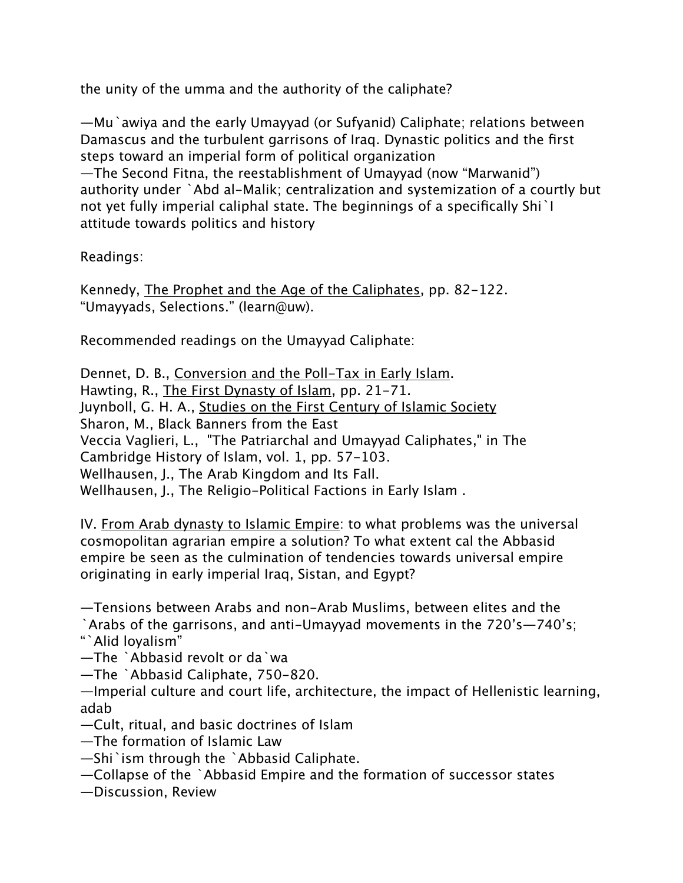the unity of the umma and the authority of the caliphate?

—Mu`awiya and the early Umayyad (or Sufyanid) Caliphate; relations between Damascus and the turbulent garrisons of Iraq. Dynastic politics and the first steps toward an imperial form of political organization —The Second Fitna, the reestablishment of Umayyad (now "Marwanid") authority under `Abd al-Malik; centralization and systemization of a courtly but not yet fully imperial caliphal state. The beginnings of a specifically Shi`I attitude towards politics and history

# Readings:

Kennedy, The Prophet and the Age of the Caliphates, pp. 82-122. "Umayyads, Selections." (learn@uw).

Recommended readings on the Umayyad Caliphate:

Dennet, D. B., Conversion and the Poll-Tax in Early Islam. Hawting, R., The First Dynasty of Islam, pp. 21-71. Juynboll, G. H. A., Studies on the First Century of Islamic Society Sharon, M., Black Banners from the East Veccia Vaglieri, L., "The Patriarchal and Umayyad Caliphates," in The Cambridge History of Islam, vol. 1, pp. 57-103. Wellhausen, J., The Arab Kingdom and Its Fall. Wellhausen, J., The Religio-Political Factions in Early Islam .

IV. From Arab dynasty to Islamic Empire: to what problems was the universal cosmopolitan agrarian empire a solution? To what extent cal the Abbasid empire be seen as the culmination of tendencies towards universal empire originating in early imperial Iraq, Sistan, and Egypt?

—Tensions between Arabs and non-Arab Muslims, between elites and the `Arabs of the garrisons, and anti-Umayyad movements in the 720's—740's; "`Alid loyalism"

—The `Abbasid revolt or da`wa

—The `Abbasid Caliphate, 750-820.

—Imperial culture and court life, architecture, the impact of Hellenistic learning, adab

—Cult, ritual, and basic doctrines of Islam

—The formation of Islamic Law

—Shi`ism through the `Abbasid Caliphate.

—Collapse of the `Abbasid Empire and the formation of successor states

—Discussion, Review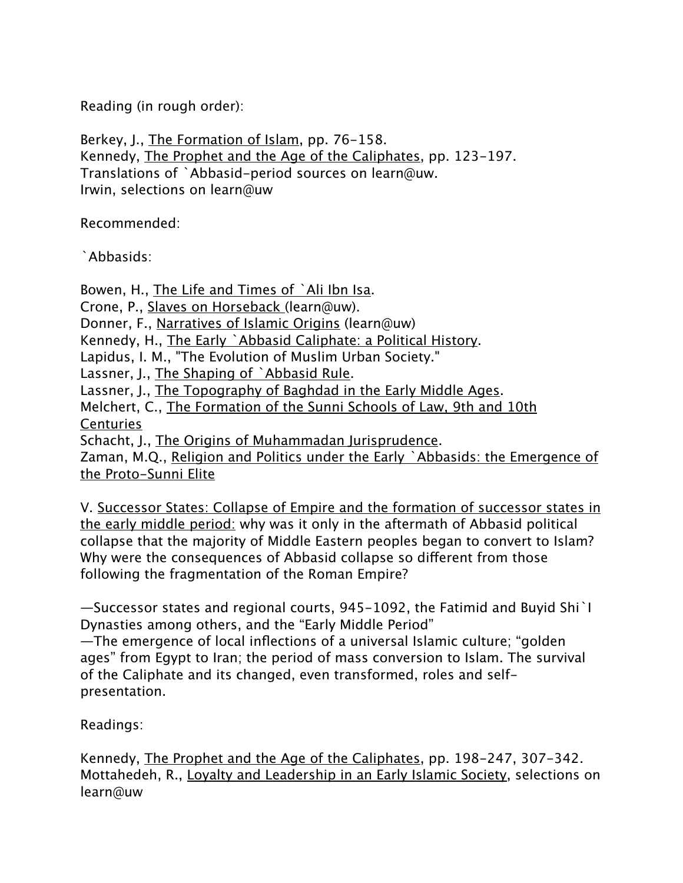Reading (in rough order):

Berkey, J., The Formation of Islam, pp. 76-158. Kennedy, The Prophet and the Age of the Caliphates, pp. 123-197. Translations of `Abbasid-period sources on learn@uw. Irwin, selections on learn@uw

Recommended:

`Abbasids:

Bowen, H., The Life and Times of `Ali Ibn Isa.

Crone, P., Slaves on Horseback (learn@uw).

Donner, F., Narratives of Islamic Origins (learn@uw)

Kennedy, H., The Early `Abbasid Caliphate: a Political History.

Lapidus, I. M., "The Evolution of Muslim Urban Society."

Lassner, J., The Shaping of `Abbasid Rule.

Lassner, J., The Topography of Baghdad in the Early Middle Ages.

Melchert, C., The Formation of the Sunni Schools of Law, 9th and 10th Centuries

Schacht, J., The Origins of Muhammadan Jurisprudence.

Zaman, M.Q., Religion and Politics under the Early `Abbasids: the Emergence of the Proto-Sunni Elite

V. Successor States: Collapse of Empire and the formation of successor states in the early middle period: why was it only in the aftermath of Abbasid political collapse that the majority of Middle Eastern peoples began to convert to Islam? Why were the consequences of Abbasid collapse so diferent from those following the fragmentation of the Roman Empire?

—Successor states and regional courts, 945-1092, the Fatimid and Buyid Shi`I Dynasties among others, and the "Early Middle Period" —The emergence of local inflections of a universal Islamic culture; "golden ages" from Egypt to Iran; the period of mass conversion to Islam. The survival of the Caliphate and its changed, even transformed, roles and selfpresentation.

Readings:

Kennedy, The Prophet and the Age of the Caliphates, pp. 198-247, 307-342. Mottahedeh, R., Loyalty and Leadership in an Early Islamic Society, selections on learn@uw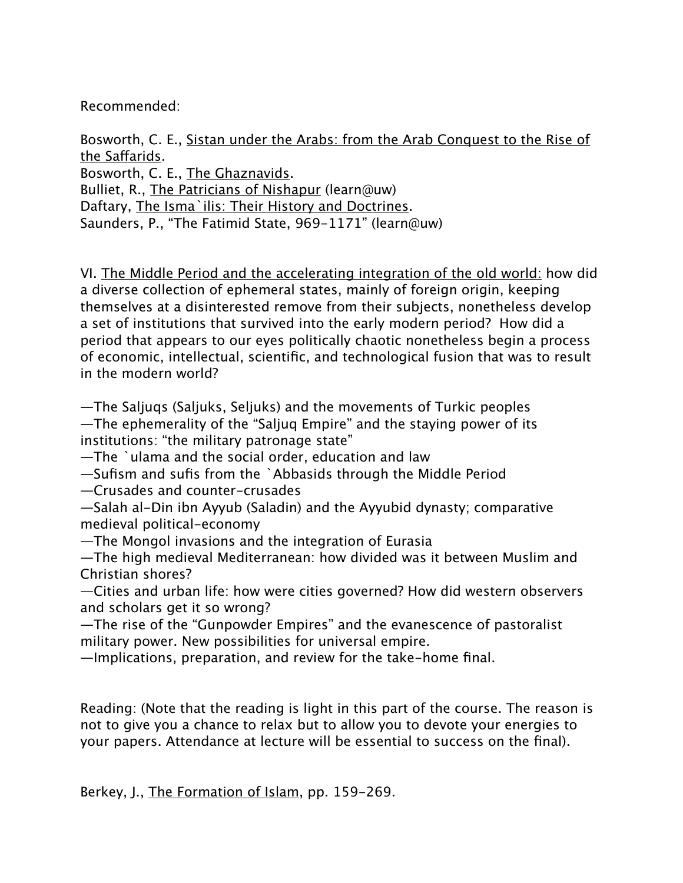Recommended:

Bosworth, C. E., Sistan under the Arabs: from the Arab Conquest to the Rise of the Safarids. Bosworth, C. E., The Ghaznavids. Bulliet, R., The Patricians of Nishapur (learn@uw) Daftary, The Isma`ilis: Their History and Doctrines. Saunders, P., "The Fatimid State, 969-1171" (learn@uw)

VI. The Middle Period and the accelerating integration of the old world: how did a diverse collection of ephemeral states, mainly of foreign origin, keeping themselves at a disinterested remove from their subjects, nonetheless develop a set of institutions that survived into the early modern period? How did a period that appears to our eyes politically chaotic nonetheless begin a process of economic, intellectual, scientific, and technological fusion that was to result in the modern world?

—The Saljuqs (Saljuks, Seljuks) and the movements of Turkic peoples —The ephemerality of the "Saljuq Empire" and the staying power of its institutions: "the military patronage state"

—The `ulama and the social order, education and law

—Sufism and sufis from the `Abbasids through the Middle Period

—Crusades and counter-crusades

—Salah al-Din ibn Ayyub (Saladin) and the Ayyubid dynasty; comparative medieval political-economy

—The Mongol invasions and the integration of Eurasia

—The high medieval Mediterranean: how divided was it between Muslim and Christian shores?

—Cities and urban life: how were cities governed? How did western observers and scholars get it so wrong?

—The rise of the "Gunpowder Empires" and the evanescence of pastoralist military power. New possibilities for universal empire.

—Implications, preparation, and review for the take-home final.

Reading: (Note that the reading is light in this part of the course. The reason is not to give you a chance to relax but to allow you to devote your energies to your papers. Attendance at lecture will be essential to success on the final).

Berkey, J., The Formation of Islam, pp. 159-269.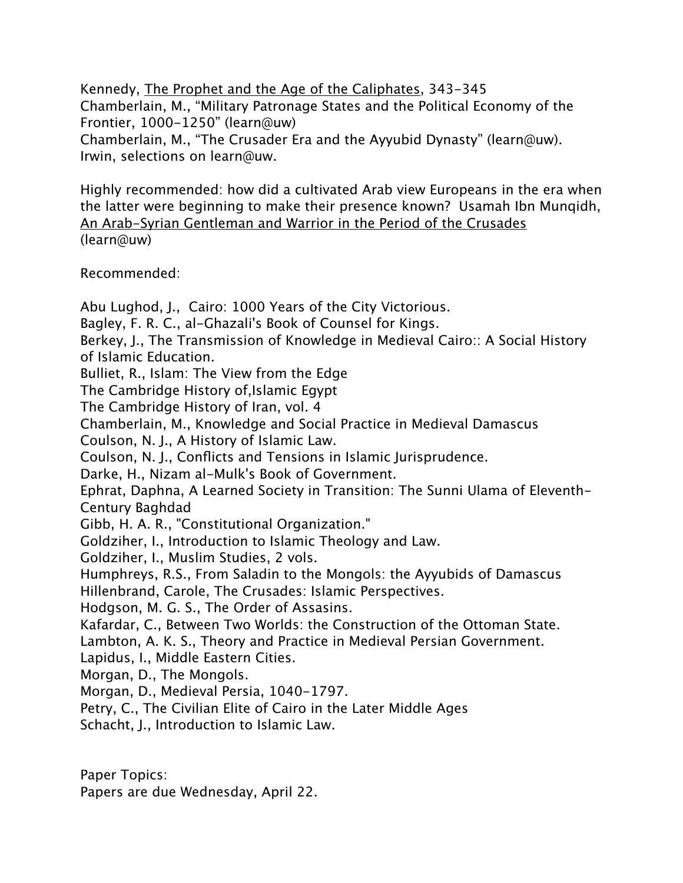Kennedy, The Prophet and the Age of the Caliphates, 343-345 Chamberlain, M., "Military Patronage States and the Political Economy of the Frontier, 1000-1250" (learn@uw) Chamberlain, M., "The Crusader Era and the Ayyubid Dynasty" (learn@uw). Irwin, selections on learn@uw.

Highly recommended: how did a cultivated Arab view Europeans in the era when the latter were beginning to make their presence known? Usamah Ibn Munqidh, An Arab-Syrian Gentleman and Warrior in the Period of the Crusades (learn@uw)

Recommended:

Abu Lughod, J., Cairo: 1000 Years of the City Victorious. Bagley, F. R. C., al-Ghazali's Book of Counsel for Kings. Berkey, J., The Transmission of Knowledge in Medieval Cairo:: A Social History of Islamic Education. Bulliet, R., Islam: The View from the Edge The Cambridge History of,Islamic Egypt The Cambridge History of Iran, vol. 4 Chamberlain, M., Knowledge and Social Practice in Medieval Damascus Coulson, N. J., A History of Islamic Law. Coulson, N. J., Conflicts and Tensions in Islamic Jurisprudence. Darke, H., Nizam al-Mulk's Book of Government. Ephrat, Daphna, A Learned Society in Transition: The Sunni Ulama of Eleventh-Century Baghdad Gibb, H. A. R., "Constitutional Organization." Goldziher, I., Introduction to Islamic Theology and Law. Goldziher, I., Muslim Studies, 2 vols. Humphreys, R.S., From Saladin to the Mongols: the Ayyubids of Damascus Hillenbrand, Carole, The Crusades: Islamic Perspectives. Hodgson, M. G. S., The Order of Assasins. Kafardar, C., Between Two Worlds: the Construction of the Ottoman State. Lambton, A. K. S., Theory and Practice in Medieval Persian Government. Lapidus, I., Middle Eastern Cities. Morgan, D., The Mongols. Morgan, D., Medieval Persia, 1040-1797. Petry, C., The Civilian Elite of Cairo in the Later Middle Ages Schacht, J., Introduction to Islamic Law.

Paper Topics:

Papers are due Wednesday, April 22.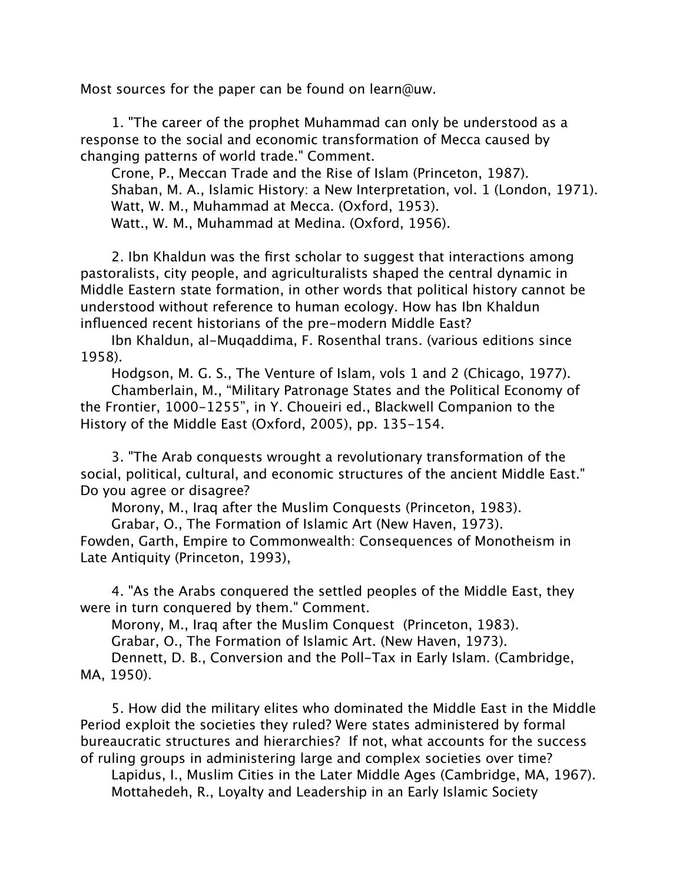Most sources for the paper can be found on learn@uw.

1. "The career of the prophet Muhammad can only be understood as a response to the social and economic transformation of Mecca caused by changing patterns of world trade." Comment.

Crone, P., Meccan Trade and the Rise of Islam (Princeton, 1987). Shaban, M. A., Islamic History: a New Interpretation, vol. 1 (London, 1971). Watt, W. M., Muhammad at Mecca. (Oxford, 1953). Watt., W. M., Muhammad at Medina. (Oxford, 1956).

2. Ibn Khaldun was the first scholar to suggest that interactions among pastoralists, city people, and agriculturalists shaped the central dynamic in Middle Eastern state formation, in other words that political history cannot be understood without reference to human ecology. How has Ibn Khaldun influenced recent historians of the pre-modern Middle East?

Ibn Khaldun, al-Muqaddima, F. Rosenthal trans. (various editions since 1958).

Hodgson, M. G. S., The Venture of Islam, vols 1 and 2 (Chicago, 1977).

Chamberlain, M., "Military Patronage States and the Political Economy of the Frontier, 1000-1255", in Y. Choueiri ed., Blackwell Companion to the History of the Middle East (Oxford, 2005), pp. 135-154.

3. "The Arab conquests wrought a revolutionary transformation of the social, political, cultural, and economic structures of the ancient Middle East." Do you agree or disagree?

Morony, M., Iraq after the Muslim Conquests (Princeton, 1983).

Grabar, O., The Formation of Islamic Art (New Haven, 1973). Fowden, Garth, Empire to Commonwealth: Consequences of Monotheism in Late Antiquity (Princeton, 1993),

4. "As the Arabs conquered the settled peoples of the Middle East, they were in turn conquered by them." Comment.

Morony, M., Iraq after the Muslim Conquest (Princeton, 1983).

Grabar, O., The Formation of Islamic Art. (New Haven, 1973).

Dennett, D. B., Conversion and the Poll-Tax in Early Islam. (Cambridge, MA, 1950).

5. How did the military elites who dominated the Middle East in the Middle Period exploit the societies they ruled? Were states administered by formal bureaucratic structures and hierarchies? If not, what accounts for the success of ruling groups in administering large and complex societies over time?

Lapidus, I., Muslim Cities in the Later Middle Ages (Cambridge, MA, 1967). Mottahedeh, R., Loyalty and Leadership in an Early Islamic Society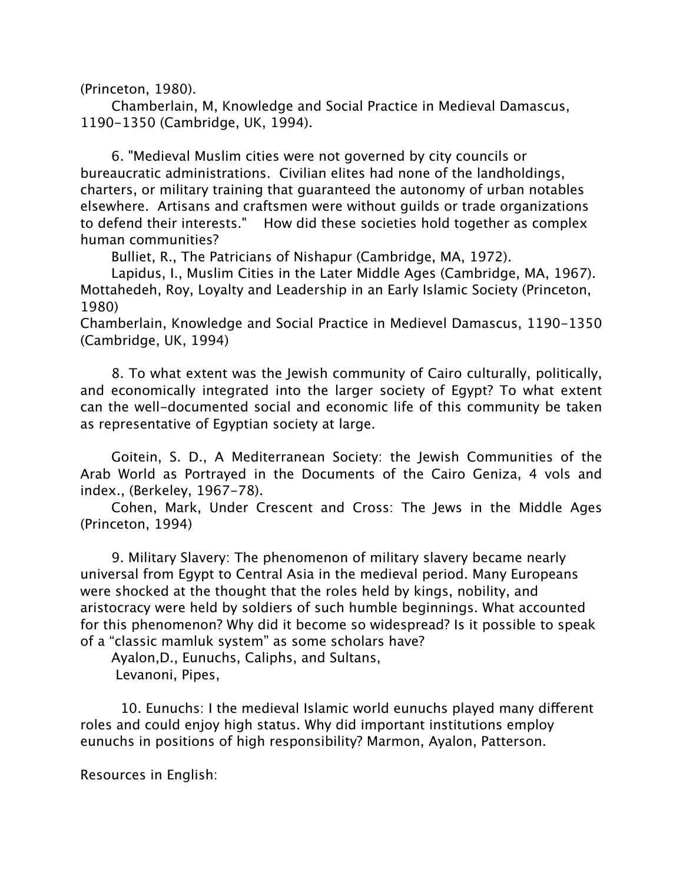(Princeton, 1980).

Chamberlain, M, Knowledge and Social Practice in Medieval Damascus, 1190-1350 (Cambridge, UK, 1994).

6. "Medieval Muslim cities were not governed by city councils or bureaucratic administrations. Civilian elites had none of the landholdings, charters, or military training that guaranteed the autonomy of urban notables elsewhere. Artisans and craftsmen were without guilds or trade organizations to defend their interests." How did these societies hold together as complex human communities?

Bulliet, R., The Patricians of Nishapur (Cambridge, MA, 1972).

Lapidus, I., Muslim Cities in the Later Middle Ages (Cambridge, MA, 1967). Mottahedeh, Roy, Loyalty and Leadership in an Early Islamic Society (Princeton, 1980)

Chamberlain, Knowledge and Social Practice in Medievel Damascus, 1190-1350 (Cambridge, UK, 1994)

8. To what extent was the Jewish community of Cairo culturally, politically, and economically integrated into the larger society of Egypt? To what extent can the well-documented social and economic life of this community be taken as representative of Egyptian society at large.

Goitein, S. D., A Mediterranean Society: the Jewish Communities of the Arab World as Portrayed in the Documents of the Cairo Geniza, 4 vols and index., (Berkeley, 1967-78).

Cohen, Mark, Under Crescent and Cross: The Jews in the Middle Ages (Princeton, 1994)

9. Military Slavery: The phenomenon of military slavery became nearly universal from Egypt to Central Asia in the medieval period. Many Europeans were shocked at the thought that the roles held by kings, nobility, and aristocracy were held by soldiers of such humble beginnings. What accounted for this phenomenon? Why did it become so widespread? Is it possible to speak of a "classic mamluk system" as some scholars have?

Ayalon,D., Eunuchs, Caliphs, and Sultans, Levanoni, Pipes,

10. Eunuchs: I the medieval Islamic world eunuchs played many diferent roles and could enjoy high status. Why did important institutions employ eunuchs in positions of high responsibility? Marmon, Ayalon, Patterson.

Resources in English: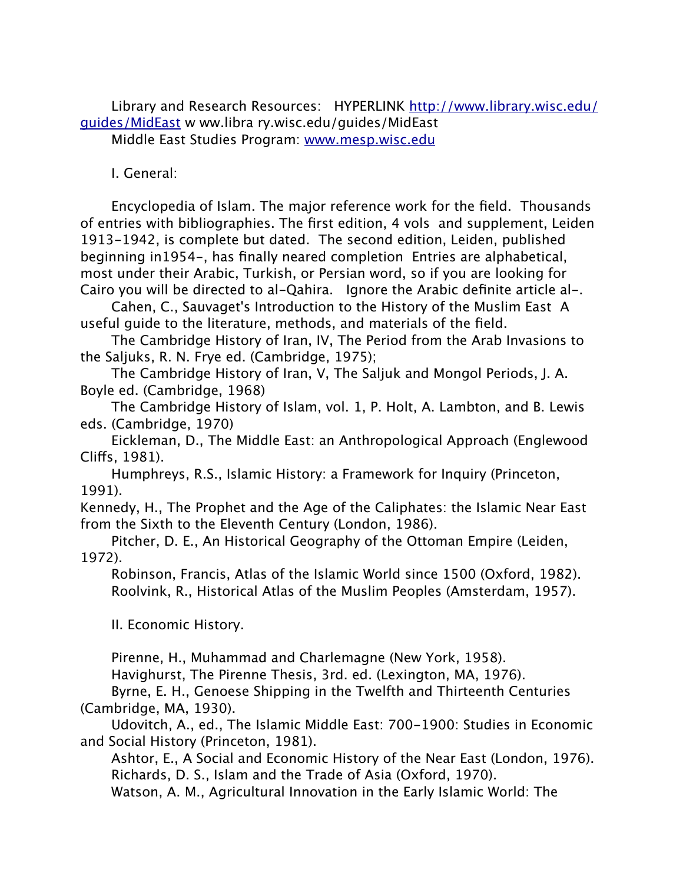[Library and Research Resources: HYPERLINK http://www.library.wisc.edu/](http://www.library.wisc.edu/guides/MidEast) guides/MidEast w ww.libra ry.wisc.edu/guides/MidEast Middle East Studies Program: [www.mesp.wisc.edu](http://www.mesp.wisc.edu)

I. General:

Encyclopedia of Islam. The major reference work for the field. Thousands of entries with bibliographies. The first edition, 4 vols and supplement, Leiden 1913-1942, is complete but dated. The second edition, Leiden, published beginning in1954-, has finally neared completion Entries are alphabetical, most under their Arabic, Turkish, or Persian word, so if you are looking for Cairo you will be directed to al-Qahira. Ignore the Arabic definite article al-.

Cahen, C., Sauvaget's Introduction to the History of the Muslim East A useful guide to the literature, methods, and materials of the field.

The Cambridge History of Iran, IV, The Period from the Arab Invasions to the Saljuks, R. N. Frye ed. (Cambridge, 1975);

The Cambridge History of Iran, V, The Saljuk and Mongol Periods, J. A. Boyle ed. (Cambridge, 1968)

The Cambridge History of Islam, vol. 1, P. Holt, A. Lambton, and B. Lewis eds. (Cambridge, 1970)

Eickleman, D., The Middle East: an Anthropological Approach (Englewood Clifs, 1981).

Humphreys, R.S., Islamic History: a Framework for Inquiry (Princeton, 1991).

Kennedy, H., The Prophet and the Age of the Caliphates: the Islamic Near East from the Sixth to the Eleventh Century (London, 1986).

Pitcher, D. E., An Historical Geography of the Ottoman Empire (Leiden, 1972).

Robinson, Francis, Atlas of the Islamic World since 1500 (Oxford, 1982). Roolvink, R., Historical Atlas of the Muslim Peoples (Amsterdam, 1957).

II. Economic History.

Pirenne, H., Muhammad and Charlemagne (New York, 1958).

Havighurst, The Pirenne Thesis, 3rd. ed. (Lexington, MA, 1976).

Byrne, E. H., Genoese Shipping in the Twelfth and Thirteenth Centuries (Cambridge, MA, 1930).

Udovitch, A., ed., The Islamic Middle East: 700-1900: Studies in Economic and Social History (Princeton, 1981).

Ashtor, E., A Social and Economic History of the Near East (London, 1976). Richards, D. S., Islam and the Trade of Asia (Oxford, 1970).

Watson, A. M., Agricultural Innovation in the Early Islamic World: The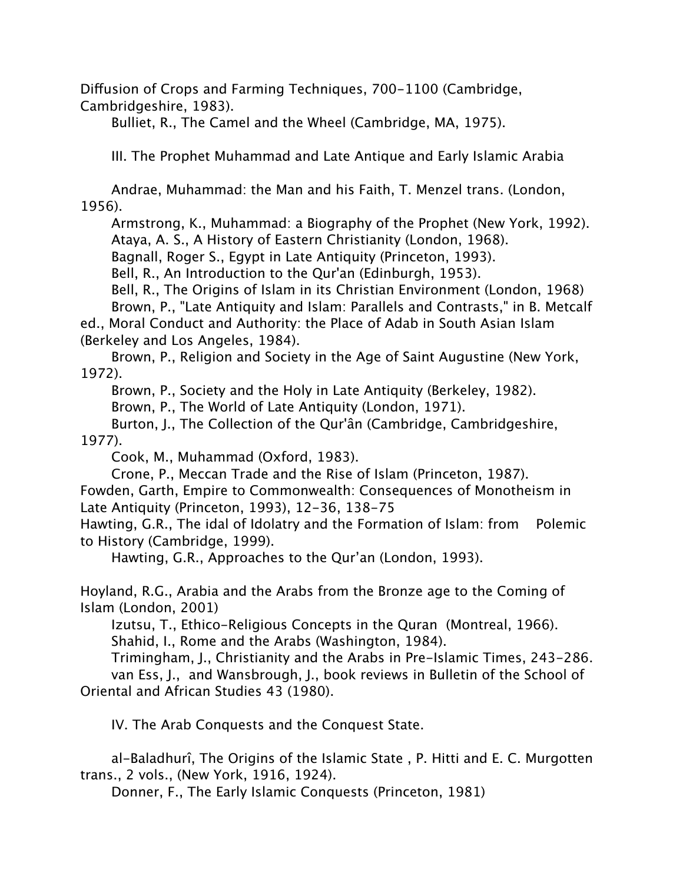Difusion of Crops and Farming Techniques, 700-1100 (Cambridge, Cambridgeshire, 1983).

Bulliet, R., The Camel and the Wheel (Cambridge, MA, 1975).

III. The Prophet Muhammad and Late Antique and Early Islamic Arabia

Andrae, Muhammad: the Man and his Faith, T. Menzel trans. (London, 1956).

Armstrong, K., Muhammad: a Biography of the Prophet (New York, 1992). Ataya, A. S., A History of Eastern Christianity (London, 1968).

Bagnall, Roger S., Egypt in Late Antiquity (Princeton, 1993).

Bell, R., An Introduction to the Qur'an (Edinburgh, 1953).

Bell, R., The Origins of Islam in its Christian Environment (London, 1968)

Brown, P., "Late Antiquity and Islam: Parallels and Contrasts," in B. Metcalf ed., Moral Conduct and Authority: the Place of Adab in South Asian Islam

(Berkeley and Los Angeles, 1984).

Brown, P., Religion and Society in the Age of Saint Augustine (New York, 1972).

Brown, P., Society and the Holy in Late Antiquity (Berkeley, 1982).

Brown, P., The World of Late Antiquity (London, 1971).

Burton, J., The Collection of the Qur'ân (Cambridge, Cambridgeshire, 1977).

Cook, M., Muhammad (Oxford, 1983).

Crone, P., Meccan Trade and the Rise of Islam (Princeton, 1987).

Fowden, Garth, Empire to Commonwealth: Consequences of Monotheism in Late Antiquity (Princeton, 1993), 12-36, 138-75

Hawting, G.R., The idal of Idolatry and the Formation of Islam: from Polemic to History (Cambridge, 1999).

Hawting, G.R., Approaches to the Qur'an (London, 1993).

Hoyland, R.G., Arabia and the Arabs from the Bronze age to the Coming of Islam (London, 2001)

Izutsu, T., Ethico-Religious Concepts in the Quran (Montreal, 1966). Shahid, I., Rome and the Arabs (Washington, 1984).

Trimingham, J., Christianity and the Arabs in Pre-Islamic Times, 243-286. van Ess, J., and Wansbrough, J., book reviews in Bulletin of the School of Oriental and African Studies 43 (1980).

IV. The Arab Conquests and the Conquest State.

al-Baladhurî, The Origins of the Islamic State , P. Hitti and E. C. Murgotten trans., 2 vols., (New York, 1916, 1924).

Donner, F., The Early Islamic Conquests (Princeton, 1981)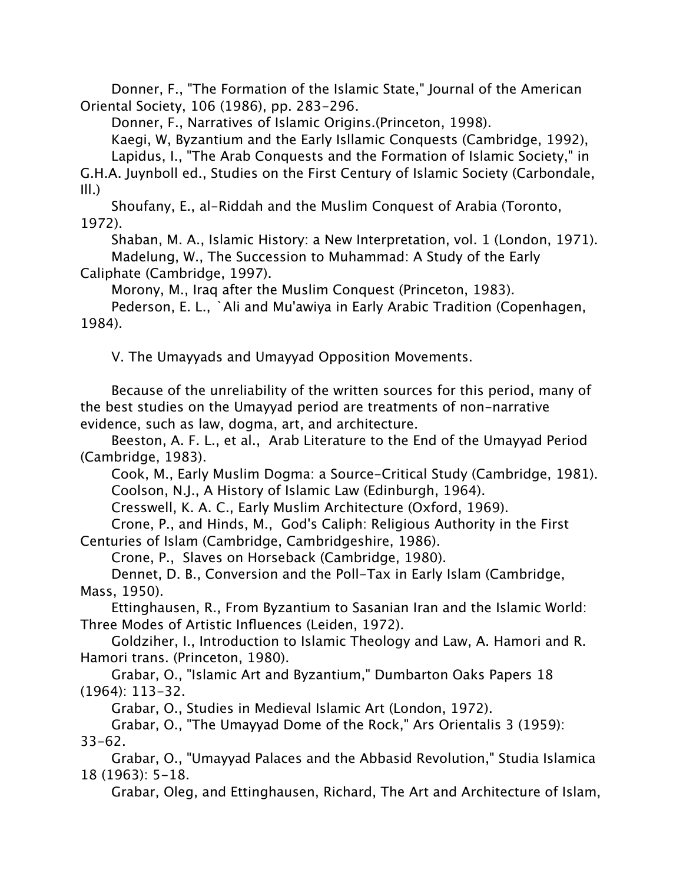Donner, F., "The Formation of the Islamic State," Journal of the American Oriental Society, 106 (1986), pp. 283-296.

Donner, F., Narratives of Islamic Origins.(Princeton, 1998).

Kaegi, W, Byzantium and the Early Isllamic Conquests (Cambridge, 1992),

Lapidus, I., "The Arab Conquests and the Formation of Islamic Society," in

G.H.A. Juynboll ed., Studies on the First Century of Islamic Society (Carbondale, Ill.)

Shoufany, E., al-Riddah and the Muslim Conquest of Arabia (Toronto, 1972).

Shaban, M. A., Islamic History: a New Interpretation, vol. 1 (London, 1971). Madelung, W., The Succession to Muhammad: A Study of the Early

Caliphate (Cambridge, 1997).

Morony, M., Iraq after the Muslim Conquest (Princeton, 1983).

Pederson, E. L., `Ali and Mu'awiya in Early Arabic Tradition (Copenhagen, 1984).

V. The Umayyads and Umayyad Opposition Movements.

Because of the unreliability of the written sources for this period, many of the best studies on the Umayyad period are treatments of non-narrative evidence, such as law, dogma, art, and architecture.

Beeston, A. F. L., et al., Arab Literature to the End of the Umayyad Period (Cambridge, 1983).

Cook, M., Early Muslim Dogma: a Source-Critical Study (Cambridge, 1981). Coolson, N.J., A History of Islamic Law (Edinburgh, 1964).

Cresswell, K. A. C., Early Muslim Architecture (Oxford, 1969).

Crone, P., and Hinds, M., God's Caliph: Religious Authority in the First Centuries of Islam (Cambridge, Cambridgeshire, 1986).

Crone, P., Slaves on Horseback (Cambridge, 1980).

Dennet, D. B., Conversion and the Poll-Tax in Early Islam (Cambridge, Mass, 1950).

Ettinghausen, R., From Byzantium to Sasanian Iran and the Islamic World: Three Modes of Artistic Influences (Leiden, 1972).

Goldziher, I., Introduction to Islamic Theology and Law, A. Hamori and R. Hamori trans. (Princeton, 1980).

Grabar, O., "Islamic Art and Byzantium," Dumbarton Oaks Papers 18 (1964): 113-32.

Grabar, O., Studies in Medieval Islamic Art (London, 1972).

Grabar, O., "The Umayyad Dome of the Rock," Ars Orientalis 3 (1959): 33-62.

Grabar, O., "Umayyad Palaces and the Abbasid Revolution," Studia Islamica 18 (1963): 5-18.

Grabar, Oleg, and Ettinghausen, Richard, The Art and Architecture of Islam,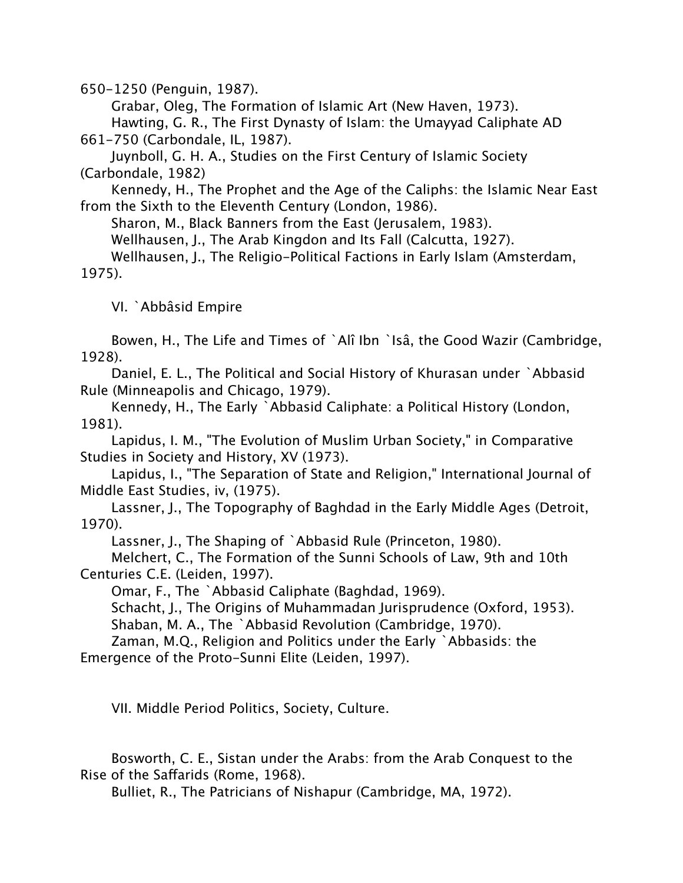650-1250 (Penguin, 1987).

Grabar, Oleg, The Formation of Islamic Art (New Haven, 1973). Hawting, G. R., The First Dynasty of Islam: the Umayyad Caliphate AD 661-750 (Carbondale, IL, 1987).

Juynboll, G. H. A., Studies on the First Century of Islamic Society (Carbondale, 1982)

Kennedy, H., The Prophet and the Age of the Caliphs: the Islamic Near East from the Sixth to the Eleventh Century (London, 1986).

Sharon, M., Black Banners from the East (Jerusalem, 1983).

Wellhausen, J., The Arab Kingdon and Its Fall (Calcutta, 1927).

Wellhausen, J., The Religio-Political Factions in Early Islam (Amsterdam, 1975).

VI. `Abbâsid Empire

Bowen, H., The Life and Times of `Alî Ibn `Isâ, the Good Wazir (Cambridge, 1928).

Daniel, E. L., The Political and Social History of Khurasan under `Abbasid Rule (Minneapolis and Chicago, 1979).

Kennedy, H., The Early `Abbasid Caliphate: a Political History (London, 1981).

Lapidus, I. M., "The Evolution of Muslim Urban Society," in Comparative Studies in Society and History, XV (1973).

Lapidus, I., "The Separation of State and Religion," International Journal of Middle East Studies, iv, (1975).

Lassner, J., The Topography of Baghdad in the Early Middle Ages (Detroit, 1970).

Lassner, J., The Shaping of `Abbasid Rule (Princeton, 1980).

Melchert, C., The Formation of the Sunni Schools of Law, 9th and 10th Centuries C.E. (Leiden, 1997).

Omar, F., The `Abbasid Caliphate (Baghdad, 1969).

Schacht, J., The Origins of Muhammadan Jurisprudence (Oxford, 1953). Shaban, M. A., The `Abbasid Revolution (Cambridge, 1970).

Zaman, M.Q., Religion and Politics under the Early `Abbasids: the Emergence of the Proto-Sunni Elite (Leiden, 1997).

VII. Middle Period Politics, Society, Culture.

Bosworth, C. E., Sistan under the Arabs: from the Arab Conquest to the Rise of the Safarids (Rome, 1968).

Bulliet, R., The Patricians of Nishapur (Cambridge, MA, 1972).